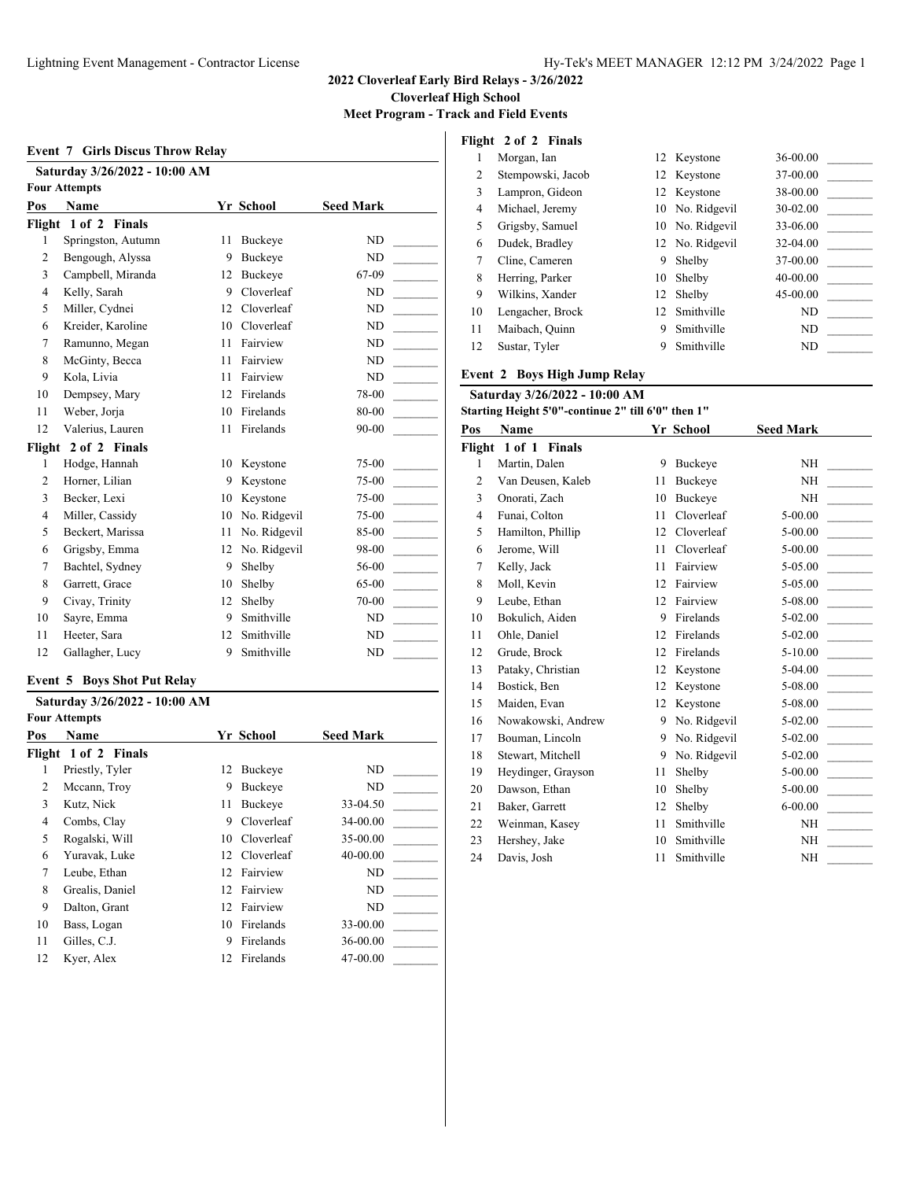**Meet Program - Track and Field Events**

|                | Saturday 3/26/2022 - 10:00 AM<br><b>Four Attempts</b> |    |                  |                  |
|----------------|-------------------------------------------------------|----|------------------|------------------|
| Pos            | Name                                                  |    | <b>Yr School</b> | <b>Seed Mark</b> |
|                | Flight 1 of 2 Finals                                  |    |                  |                  |
| 1              | Springston, Autumn                                    | 11 | Buckeye          | ND               |
| $\overline{2}$ | Bengough, Alyssa                                      | 9  | <b>Buckeve</b>   | ND               |
| 3              | Campbell, Miranda                                     | 12 | <b>Buckeve</b>   | 67-09            |
| $\overline{4}$ | Kelly, Sarah                                          | 9  | Cloverleaf       | ND               |
| 5              | Miller, Cydnei                                        | 12 | Cloverleaf       | ND               |
| 6              | Kreider, Karoline                                     | 10 | Cloverleaf       | ND               |
| 7              | Ramunno, Megan                                        | 11 | Fairview         | ND               |
| 8              | McGinty, Becca                                        | 11 | Fairview         | ND               |
| 9              | Kola, Livia                                           | 11 | Fairview         | ND               |
| 10             | Dempsey, Mary                                         | 12 | Firelands        | 78-00            |
| 11             | Weber, Jorja                                          | 10 | Firelands        | 80-00            |
| 12             | Valerius, Lauren                                      | 11 | Firelands        | 90-00            |
| Flight         | 2 of 2 Finals                                         |    |                  |                  |
| 1              | Hodge, Hannah                                         | 10 | Keystone         | 75-00            |
| $\overline{c}$ | Horner, Lilian                                        | 9  | Keystone         | 75-00            |
| 3              | Becker, Lexi                                          | 10 | Keystone         | 75-00            |
| $\overline{4}$ | Miller, Cassidy                                       | 10 | No. Ridgevil     | 75-00            |
| 5              | Beckert, Marissa                                      | 11 | No. Ridgevil     | 85-00            |
| 6              | Grigsby, Emma                                         | 12 | No. Ridgevil     | 98-00            |
| 7              | Bachtel, Sydney                                       | 9  | Shelby           | 56-00            |
| 8              | Garrett, Grace                                        | 10 | Shelby           | 65-00            |
| 9              | Civay, Trinity                                        | 12 | Shelby           | 70-00            |
| 10             | Sayre, Emma                                           | 9  | Smithville       | ND               |
| 11             | Heeter, Sara                                          | 12 | Smithville       | ND               |
| 12             | Gallagher, Lucy                                       | 9  | Smithville       | <b>ND</b>        |

#### **Event 5 Boys Shot Put Relay**

|     | Saturday 3/26/2022 - 10:00 AM |    |            |                  |  |  |  |  |
|-----|-------------------------------|----|------------|------------------|--|--|--|--|
|     | <b>Four Attempts</b>          |    |            |                  |  |  |  |  |
| Pos | <b>Name</b>                   |    | Yr School  | <b>Seed Mark</b> |  |  |  |  |
|     | Flight 1 of 2 Finals          |    |            |                  |  |  |  |  |
| 1   | Priestly, Tyler               | 12 | Buckeye    | ND               |  |  |  |  |
| 2   | Mccann, Troy                  | 9  | Buckeve    | ND               |  |  |  |  |
| 3   | Kutz, Nick                    | 11 | Buckeye    | 33-04.50         |  |  |  |  |
| 4   | Combs, Clay                   | 9  | Cloverleaf | 34-00.00         |  |  |  |  |
| 5   | Rogalski, Will                | 10 | Cloverleaf | 35-00.00         |  |  |  |  |
| 6   | Yuravak, Luke                 | 12 | Cloverleaf | 40-00.00         |  |  |  |  |
| 7   | Leube, Ethan                  | 12 | Fairview   | ND               |  |  |  |  |
| 8   | Grealis, Daniel               | 12 | Fairview   | ND               |  |  |  |  |
| 9   | Dalton, Grant                 | 12 | Fairview   | ND               |  |  |  |  |
| 10  | Bass, Logan                   | 10 | Firelands  | 33-00.00         |  |  |  |  |
| 11  | Gilles, C.J.                  | 9  | Firelands  | 36-00.00         |  |  |  |  |
| 12  | Kyer, Alex                    | 12 | Firelands  | 47-00.00         |  |  |  |  |
|     |                               |    |            |                  |  |  |  |  |

# **Flight 2 of 2 Finals**

|    | Morgan, Ian       |    | 12 Keystone     | 36-00.00 |
|----|-------------------|----|-----------------|----------|
| 2  | Stempowski, Jacob |    | 12 Keystone     | 37-00.00 |
| 3  | Lampron, Gideon   |    | 12 Keystone     | 38-00.00 |
| 4  | Michael, Jeremy   |    | 10 No. Ridgevil | 30-02.00 |
| 5  | Grigsby, Samuel   |    | 10 No. Ridgevil | 33-06.00 |
| 6  | Dudek, Bradley    |    | 12 No. Ridgevil | 32-04.00 |
| 7  | Cline, Cameren    | 9  | Shelby          | 37-00.00 |
| 8  | Herring, Parker   | 10 | Shelby          | 40-00.00 |
| 9  | Wilkins, Xander   |    | 12 Shelby       | 45-00.00 |
| 10 | Lengacher, Brock  |    | 12 Smithville   | ND       |
| 11 | Maibach, Quinn    | 9  | Smithville      | ND       |
| 12 | Sustar, Tyler     |    | Smithville      | ND       |

#### **Event 2 Boys High Jump Relay**

| Saturday 3/26/2022 - 10:00 AM |                                                    |    |                |                  |  |  |
|-------------------------------|----------------------------------------------------|----|----------------|------------------|--|--|
|                               | Starting Height 5'0"-continue 2" till 6'0" then 1" |    |                |                  |  |  |
| Pos                           | Name                                               |    | Yr School      | <b>Seed Mark</b> |  |  |
|                               | Flight 1 of 1 Finals                               |    |                |                  |  |  |
| 1                             | Martin, Dalen                                      | 9  | Buckeye        | NH               |  |  |
| $\overline{2}$                | Van Deusen, Kaleb                                  | 11 | <b>Buckeve</b> | NH               |  |  |
| 3                             | Onorati, Zach                                      | 10 | <b>Buckeve</b> | <b>NH</b>        |  |  |
| $\overline{4}$                | Funai, Colton                                      | 11 | Cloverleaf     | 5-00.00          |  |  |
| 5                             | Hamilton, Phillip                                  | 12 | Cloverleaf     | 5-00.00          |  |  |
| 6                             | Jerome, Will                                       | 11 | Cloverleaf     | 5-00.00          |  |  |
| 7                             | Kelly, Jack                                        | 11 | Fairview       | 5-05.00          |  |  |
| 8                             | Moll, Kevin                                        | 12 | Fairview       | 5-05.00          |  |  |
| 9                             | Leube, Ethan                                       | 12 | Fairview       | 5-08.00          |  |  |
| 10                            | Bokulich, Aiden                                    | 9  | Firelands      | $5-02.00$        |  |  |
| 11                            | Ohle, Daniel                                       | 12 | Firelands      | $5-02.00$        |  |  |
| 12                            | Grude, Brock                                       | 12 | Firelands      | 5-10.00          |  |  |
| 13                            | Pataky, Christian                                  | 12 | Keystone       | 5-04.00          |  |  |
| 14                            | Bostick, Ben                                       | 12 | Keystone       | 5-08.00          |  |  |
| 15                            | Maiden, Evan                                       | 12 | Keystone       | 5-08.00          |  |  |
| 16                            | Nowakowski, Andrew                                 | 9  | No. Ridgevil   | 5-02.00          |  |  |
| 17                            | Bouman, Lincoln                                    | 9  | No. Ridgevil   | $5-02.00$        |  |  |
| 18                            | Stewart, Mitchell                                  | 9  | No. Ridgevil   | 5-02.00          |  |  |
| 19                            | Heydinger, Grayson                                 | 11 | Shelby         | 5-00.00          |  |  |
| 20                            | Dawson, Ethan                                      | 10 | Shelby         | 5-00.00          |  |  |
| 21                            | Baker, Garrett                                     | 12 | Shelby         | $6 - 00.00$      |  |  |
| 22                            | Weinman, Kasey                                     | 11 | Smithville     | NH               |  |  |
| 23                            | Hershey, Jake                                      | 10 | Smithville     | NH               |  |  |
| 24                            | Davis, Josh                                        | 11 | Smithville     | <b>NH</b>        |  |  |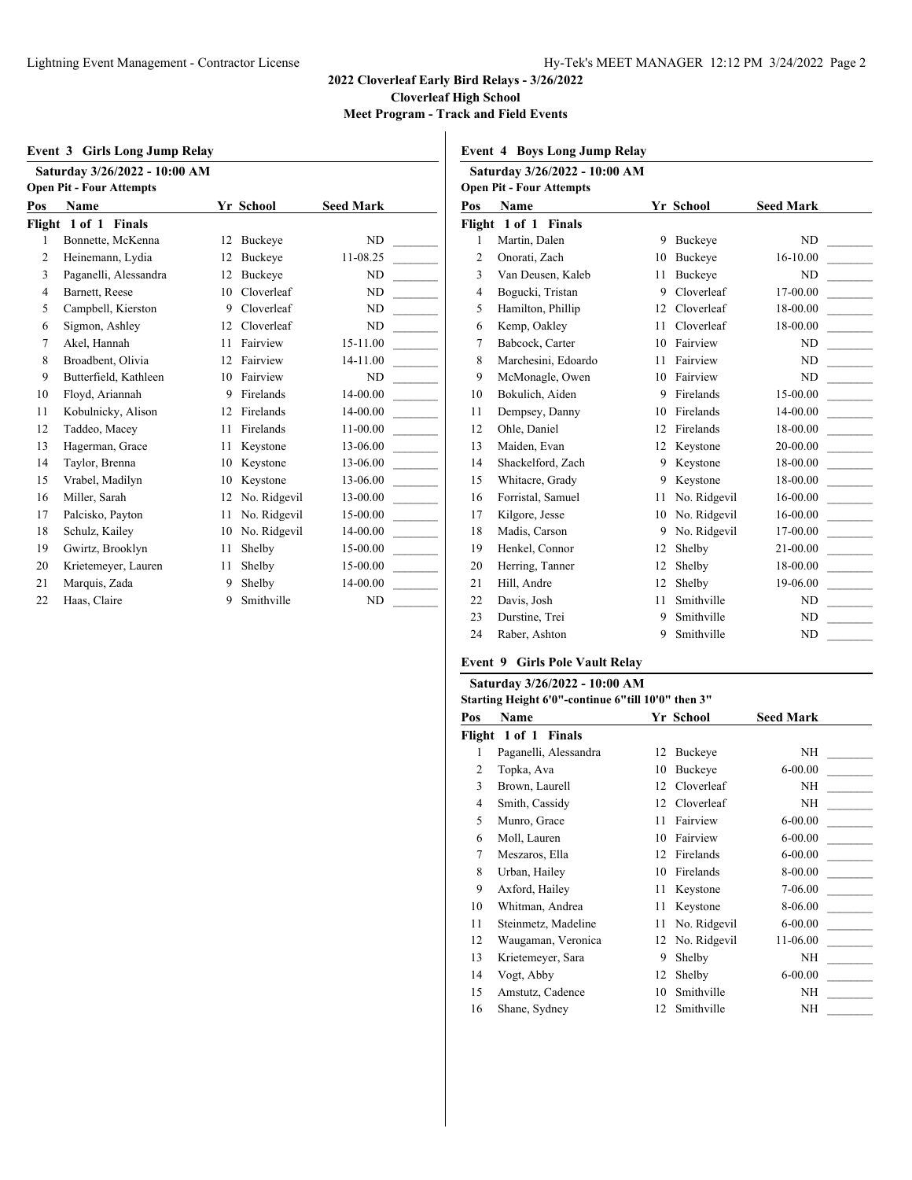$\overline{1}$ 

**Meet Program - Track and Field Events**

|                               | Event 3 Girls Long Jump Relay   |    |                |                  |  |  |  |
|-------------------------------|---------------------------------|----|----------------|------------------|--|--|--|
| Saturday 3/26/2022 - 10:00 AM |                                 |    |                |                  |  |  |  |
|                               | <b>Open Pit - Four Attempts</b> |    |                |                  |  |  |  |
| Pos                           | <b>Name</b>                     |    | Yr School      | <b>Seed Mark</b> |  |  |  |
|                               | Flight 1 of 1 Finals            |    |                |                  |  |  |  |
| 1                             | Bonnette, McKenna               | 12 | Buckeye        | ND               |  |  |  |
| $\overline{c}$                | Heinemann, Lydia                | 12 | <b>Buckeye</b> | 11-08.25         |  |  |  |
| 3                             | Paganelli, Alessandra           | 12 | Buckeye        | ND               |  |  |  |
| $\overline{4}$                | Barnett, Reese                  | 10 | Cloverleaf     | ND               |  |  |  |
| 5                             | Campbell, Kierston              | 9  | Cloverleaf     | ND               |  |  |  |
| 6                             | Sigmon, Ashley                  | 12 | Cloverleaf     | ND               |  |  |  |
| 7                             | Akel, Hannah                    | 11 | Fairview       | 15-11.00         |  |  |  |
| 8                             | Broadbent, Olivia               | 12 | Fairview       | 14-11.00         |  |  |  |
| 9                             | Butterfield, Kathleen           | 10 | Fairview       | ND               |  |  |  |
| 10                            | Floyd, Ariannah                 | 9  | Firelands      | 14-00.00         |  |  |  |
| 11                            | Kobulnicky, Alison              | 12 | Firelands      | 14-00.00         |  |  |  |
| 12                            | Taddeo, Macey                   | 11 | Firelands      | 11-00.00         |  |  |  |
| 13                            | Hagerman, Grace                 | 11 | Keystone       | 13-06.00         |  |  |  |
| 14                            | Taylor, Brenna                  | 10 | Keystone       | 13-06.00         |  |  |  |
| 15                            | Vrabel, Madilyn                 | 10 | Keystone       | 13-06.00         |  |  |  |
| 16                            | Miller, Sarah                   | 12 | No. Ridgevil   | 13-00.00         |  |  |  |
| 17                            | Palcisko, Payton                | 11 | No. Ridgevil   | 15-00.00         |  |  |  |
| 18                            | Schulz, Kailey                  | 10 | No. Ridgevil   | 14-00.00         |  |  |  |
| 19                            | Gwirtz, Brooklyn                | 11 | Shelby         | 15-00.00         |  |  |  |
| 20                            | Krietemeyer, Lauren             | 11 | Shelby         | 15-00.00         |  |  |  |
| 21                            | Marquis, Zada                   | 9  | Shelby         | 14-00.00         |  |  |  |
| 22                            | Haas, Claire                    | 9  | Smithville     | ND               |  |  |  |

**Event 4 Boys Long Jump Relay**

|                | Saturday 3/26/2022 - 10:00 AM   |    |                |                  |
|----------------|---------------------------------|----|----------------|------------------|
|                | <b>Open Pit - Four Attempts</b> |    |                |                  |
| Pos            | Name                            |    | Yr School      | <b>Seed Mark</b> |
|                | Flight 1 of 1 Finals            |    |                |                  |
| $\mathbf{1}$   | Martin, Dalen                   | 9  | Buckeye        | ND               |
| $\overline{2}$ | Onorati, Zach                   | 10 | <b>Buckeve</b> | 16-10.00         |
| 3              | Van Deusen, Kaleb               | 11 | <b>Buckeve</b> | ND               |
| $\overline{4}$ | Bogucki, Tristan                | 9  | Cloverleaf     | 17-00.00         |
| 5              | Hamilton, Phillip               | 12 | Cloverleaf     | 18-00.00         |
| 6              | Kemp, Oakley                    | 11 | Cloverleaf     | 18-00.00         |
| 7              | Babcock, Carter                 | 10 | Fairview       | ND               |
| 8              | Marchesini, Edoardo             | 11 | Fairview       | ND               |
| 9              | McMonagle, Owen                 | 10 | Fairview       | ND               |
| 10             | Bokulich, Aiden                 | 9  | Firelands      | 15-00.00         |
| 11             | Dempsey, Danny                  | 10 | Firelands      | 14-00.00         |
| 12             | Ohle, Daniel                    | 12 | Firelands      | 18-00.00         |
| 13             | Maiden, Evan                    | 12 | Keystone       | 20-00.00         |
| 14             | Shackelford, Zach               | 9  | Keystone       | 18-00.00         |
| 15             | Whitacre, Grady                 | 9  | Keystone       | 18-00.00         |
| 16             | Forristal, Samuel               | 11 | No. Ridgevil   | 16-00.00         |
| 17             | Kilgore, Jesse                  | 10 | No. Ridgevil   | 16-00.00         |
| 18             | Madis, Carson                   | 9  | No. Ridgevil   | 17-00.00         |
| 19             | Henkel, Connor                  | 12 | Shelby         | 21-00.00         |
| 20             | Herring, Tanner                 | 12 | Shelby         | 18-00.00         |
| 21             | Hill, Andre                     | 12 | Shelby         | 19-06.00         |
| 22             | Davis, Josh                     | 11 | Smithville     | ND               |
| 23             | Durstine, Trei                  | 9  | Smithville     | ND               |
| 24             | Raber, Ashton                   | 9  | Smithville     | ND               |

#### **Event 9 Girls Pole Vault Relay**

## **Saturday 3/26/2022 - 10:00 AM**

| "Starting Height 6'0"-continue 6"till 10'0" then 3 |  |  |  |
|----------------------------------------------------|--|--|--|
|----------------------------------------------------|--|--|--|

| Pos | Name                  |    | Yr School    | <b>Seed Mark</b> |  |
|-----|-----------------------|----|--------------|------------------|--|
|     | Flight 1 of 1 Finals  |    |              |                  |  |
| 1   | Paganelli, Alessandra |    | 12 Buckeye   | NΗ               |  |
| 2   | Topka, Ava            | 10 | Buckeye      | $6 - 00.00$      |  |
| 3   | Brown, Laurell        | 12 | Cloverleaf   | ΝH               |  |
| 4   | Smith, Cassidy        | 12 | Cloverleaf   | ΝH               |  |
| 5   | Munro, Grace          | 11 | Fairview     | $6 - 00.00$      |  |
| 6   | Moll, Lauren          | 10 | Fairview     | $6 - 00.00$      |  |
| 7   | Meszaros, Ella        | 12 | Firelands    | $6 - 00.00$      |  |
| 8   | Urban, Hailey         | 10 | Firelands    | 8-00.00          |  |
| 9   | Axford, Hailey        | 11 | Keystone     | 7-06.00          |  |
| 10  | Whitman, Andrea       | 11 | Keystone     | 8-06.00          |  |
| 11  | Steinmetz, Madeline   | 11 | No. Ridgevil | $6 - 00.00$      |  |
| 12  | Waugaman, Veronica    | 12 | No. Ridgevil | 11-06.00         |  |
| 13  | Krietemeyer, Sara     | 9  | Shelby       | NΗ               |  |
| 14  | Vogt, Abby            | 12 | Shelby       | $6 - 00.00$      |  |
| 15  | Amstutz, Cadence      | 10 | Smithville   | NH               |  |
| 16  | Shane, Sydney         | 12 | Smithville   | NΗ               |  |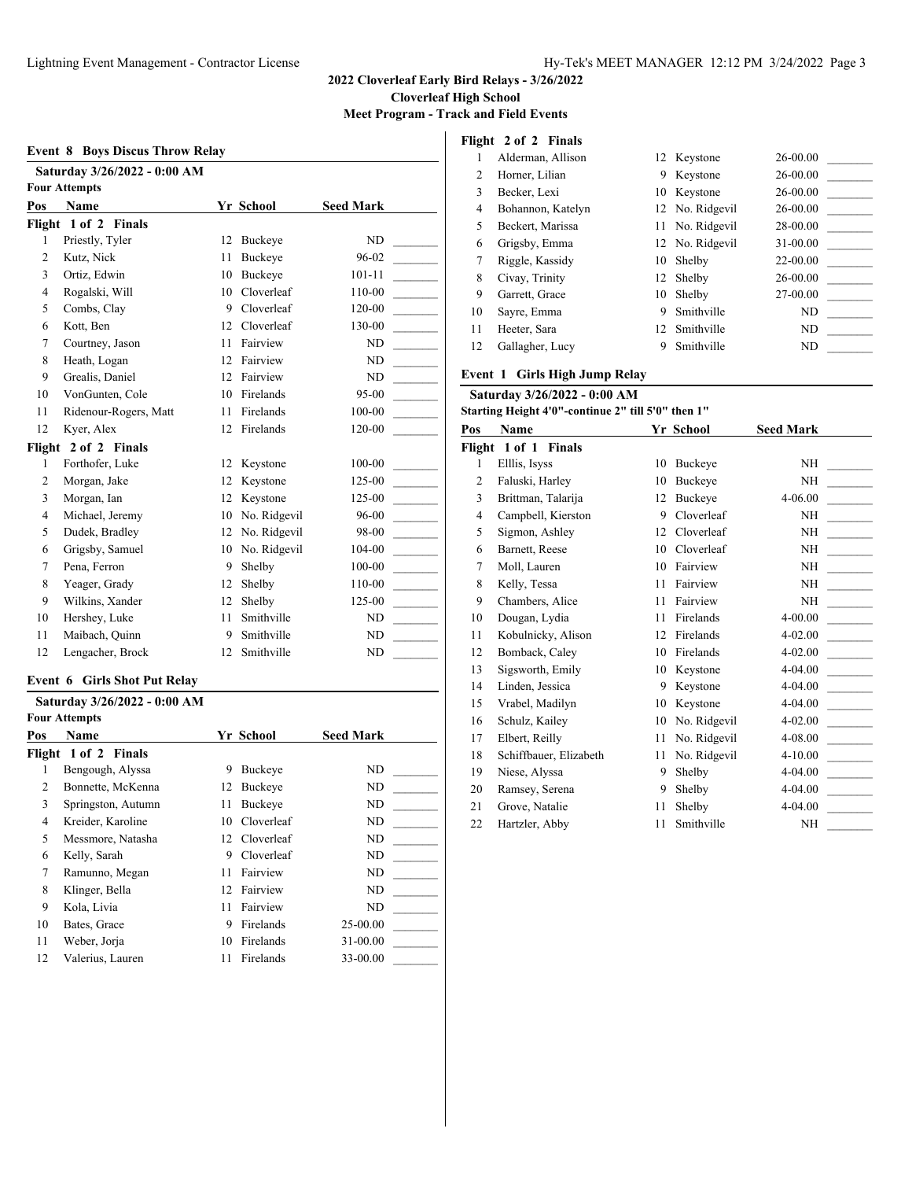**Meet Program - Track and Field Events**

|                | Saturday 3/26/2022 - 0:00 AM<br><b>Four Attempts</b> |    |              |                  |
|----------------|------------------------------------------------------|----|--------------|------------------|
| Pos            | Name                                                 |    | Yr School    | <b>Seed Mark</b> |
| Flight         | 1 of 2 Finals                                        |    |              |                  |
| 1              | Priestly, Tyler                                      | 12 | Buckeye      | ND               |
| $\overline{2}$ | Kutz, Nick                                           | 11 | Buckeye      | 96-02            |
| 3              | Ortiz, Edwin                                         | 10 | Buckeve      | $101 - 11$       |
| 4              | Rogalski, Will                                       | 10 | Cloverleaf   | 110-00           |
| 5              | Combs, Clay                                          | 9  | Cloverleaf   | 120-00           |
| 6              | Kott, Ben                                            | 12 | Cloverleaf   | 130-00           |
| 7              | Courtney, Jason                                      | 11 | Fairview     | ND               |
| 8              | Heath, Logan                                         | 12 | Fairview     | ND               |
| 9              | Grealis, Daniel                                      | 12 | Fairview     | ND               |
| 10             | VonGunten, Cole                                      | 10 | Firelands    | $95 - 00$        |
| 11             | Ridenour-Rogers, Matt                                | 11 | Firelands    | 100-00           |
| 12             | Kyer, Alex                                           | 12 | Firelands    | 120-00           |
| Flight         | 2 of 2 Finals                                        |    |              |                  |
| 1              | Forthofer, Luke                                      | 12 | Keystone     | 100-00           |
| $\overline{c}$ | Morgan, Jake                                         | 12 | Keystone     | 125-00           |
| 3              | Morgan, Ian                                          | 12 | Keystone     | 125-00           |
| $\overline{4}$ | Michael, Jeremy                                      | 10 | No. Ridgevil | 96-00            |
| 5              | Dudek, Bradley                                       | 12 | No. Ridgevil | 98-00            |
| 6              | Grigsby, Samuel                                      | 10 | No. Ridgevil | 104-00           |
| 7              | Pena, Ferron                                         | 9  | Shelby       | 100-00           |
| 8              | Yeager, Grady                                        | 12 | Shelby       | 110-00           |
| 9              | Wilkins, Xander                                      | 12 | Shelby       | 125-00           |
| 10             | Hershey, Luke                                        | 11 | Smithville   | ND               |
| 11             | Maibach, Quinn                                       | 9  | Smithville   | <b>ND</b>        |
| 12             | Lengacher, Brock                                     | 12 | Smithville   | ND               |

#### **Event 6 Girls Shot Put Relay**

|                | Saturday 3/26/2022 - 0:00 AM |    |                  |                  |
|----------------|------------------------------|----|------------------|------------------|
|                | <b>Four Attempts</b>         |    |                  |                  |
| Pos            | <b>Name</b>                  |    | Yr School        | <b>Seed Mark</b> |
|                | Flight 1 of 2 Finals         |    |                  |                  |
| 1              | Bengough, Alyssa             | 9  | Buckeye          | ND               |
| $\overline{c}$ | Bonnette, McKenna            | 12 | Buckeye          | ND               |
| 3              | Springston, Autumn           | 11 | Buckeve          | ND               |
| 4              | Kreider, Karoline            | 10 | Cloverleaf       | ND               |
| 5              | Messmore, Natasha            | 12 | Cloverleaf       | ND               |
| 6              | Kelly, Sarah                 | 9  | Cloverleaf       | ND               |
| 7              | Ramunno, Megan               | 11 | Fairview         | ND               |
| 8              | Klinger, Bella               | 12 | Fairview         | ND               |
| 9              | Kola, Livia                  | 11 | Fairview         | ND               |
| 10             | Bates, Grace                 | 9  | <b>Firelands</b> | 25-00.00         |
| 11             | Weber, Jorja                 | 10 | Firelands        | 31-00.00         |
| 12             | Valerius, Lauren             | 11 | Firelands        | 33-00.00         |

# **Flight 2 of 2 Finals**

|    | Alderman, Allison |    | 12 Keystone     | 26-00.00 |
|----|-------------------|----|-----------------|----------|
| 2  | Horner, Lilian    | 9  | Keystone        | 26-00.00 |
| 3  | Becker, Lexi      |    | 10 Keystone     | 26-00.00 |
| 4  | Bohannon, Katelyn |    | 12 No. Ridgevil | 26-00.00 |
| 5  | Beckert, Marissa  |    | 11 No. Ridgevil | 28-00.00 |
| 6  | Grigsby, Emma     |    | 12 No. Ridgevil | 31-00.00 |
| 7  | Riggle, Kassidy   |    | 10 Shelby       | 22-00.00 |
| 8  | Civay, Trinity    |    | 12 Shelby       | 26-00.00 |
| 9  | Garrett, Grace    | 10 | Shelby          | 27-00.00 |
| 10 | Sayre, Emma       | 9  | Smithville      | ND       |
| 11 | Heeter, Sara      |    | 12 Smithville   | ND       |
| 12 | Gallagher, Lucy   | 9  | Smithville      | ND       |

#### **Event 1 Girls High Jump Relay**

| Saturday 3/26/2022 - 0:00 AM |                                                    |    |                |                  |  |  |
|------------------------------|----------------------------------------------------|----|----------------|------------------|--|--|
|                              | Starting Height 4'0"-continue 2" till 5'0" then 1" |    |                |                  |  |  |
| Pos                          | <b>Name</b>                                        |    | Yr School      | <b>Seed Mark</b> |  |  |
|                              | Flight 1 of 1 Finals                               |    |                |                  |  |  |
| 1                            | Elllis, Isyss                                      | 10 | Buckeye        | ΝH               |  |  |
| $\overline{2}$               | Faluski, Harley                                    | 10 | <b>Buckeve</b> | NH               |  |  |
| 3                            | Brittman, Talarija                                 | 12 | <b>Buckeve</b> | 4-06.00          |  |  |
| 4                            | Campbell, Kierston                                 | 9  | Cloverleaf     | NH               |  |  |
| 5                            | Sigmon, Ashley                                     | 12 | Cloverleaf     | NH               |  |  |
| 6                            | Barnett, Reese                                     | 10 | Cloverleaf     | NH               |  |  |
| 7                            | Moll, Lauren                                       | 10 | Fairview       | <b>NH</b>        |  |  |
| 8                            | Kelly, Tessa                                       | 11 | Fairview       | <b>NH</b>        |  |  |
| 9                            | Chambers, Alice                                    | 11 | Fairview       | NH               |  |  |
| 10                           | Dougan, Lydia                                      | 11 | Firelands      | 4-00.00          |  |  |
| 11                           | Kobulnicky, Alison                                 | 12 | Firelands      | $4 - 02.00$      |  |  |
| 12                           | Bomback, Caley                                     | 10 | Firelands      | $4 - 02.00$      |  |  |
| 13                           | Sigsworth, Emily                                   | 10 | Keystone       | 4-04.00          |  |  |
| 14                           | Linden, Jessica                                    | 9  | Keystone       | 4-04.00          |  |  |
| 15                           | Vrabel, Madilyn                                    | 10 | Keystone       | 4-04.00          |  |  |
| 16                           | Schulz, Kailey                                     | 10 | No. Ridgevil   | 4-02.00          |  |  |
| 17                           | Elbert, Reilly                                     | 11 | No. Ridgevil   | 4-08.00          |  |  |
| 18                           | Schiffbauer, Elizabeth                             | 11 | No. Ridgevil   | $4 - 10.00$      |  |  |
| 19                           | Niese, Alyssa                                      | 9  | Shelby         | 4-04.00          |  |  |
| 20                           | Ramsey, Serena                                     | 9  | Shelby         | 4-04.00          |  |  |
| 21                           | Grove, Natalie                                     | 11 | Shelby         | 4-04.00          |  |  |
| 22                           | Hartzler, Abby                                     | 11 | Smithville     | NH               |  |  |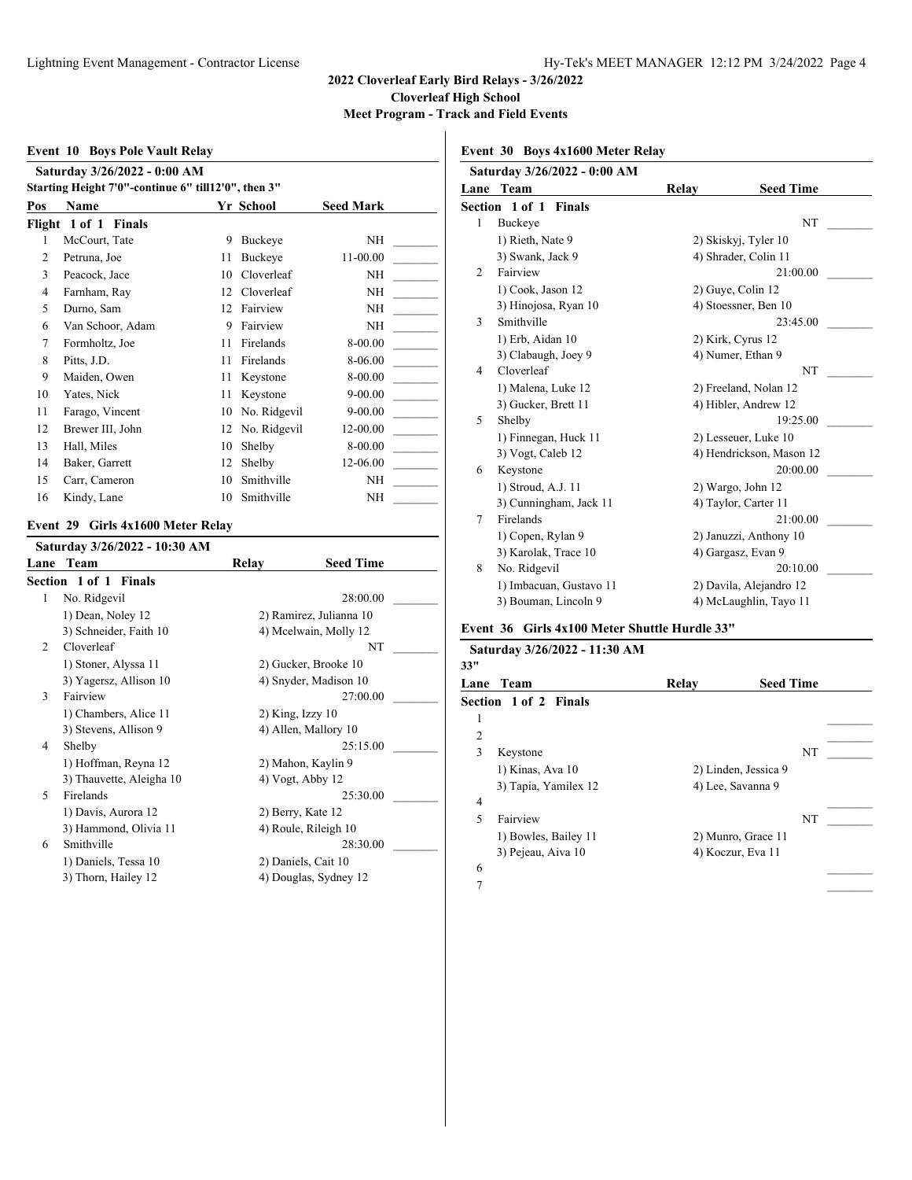**Event 10 Boys Pole Vault Relay Saturday 3/26/2022 - 0:00 AM Starting Height 7'0"-continue 6" till12'0", then 3" Pos Name Yr School Seed Mark Flight 1 of 1 Finals** 1 McCourt, Tate 9 Buckeye NH 2 Petruna, Joe 11 Buckeye 11-00.00 3 Peacock, Jace 10 Cloverleaf NH 4 Farnham, Ray 12 Cloverleaf NH 5 Durno, Sam 12 Fairview NH 6 Van Schoor, Adam 9 Fairview NH \_\_\_\_\_\_\_\_\_ 7 Formholtz, Joe 11 Firelands 8-00.00 8 Pitts, J.D. 11 Firelands 8-06.00 9 Maiden, Owen 11 Keystone 8-00.00 10 Yates, Nick 11 Keystone 9-00.00 11 Farago, Vincent 10 No. Ridgevil 9-00.00 12 Brewer III, John 12 No. Ridgevil 12-00.00 13 Hall, Miles 10 Shelby 8-00.00 14 Baker, Garrett 12 Shelby 12-06.00 15 Carr, Cameron 10 Smithville NH 16 Kindy, Lane 10 Smithville NH

#### **Event 29 Girls 4x1600 Meter Relay**

|                | Saturday 3/26/2022 - 10:30 AM |       |                         |  |
|----------------|-------------------------------|-------|-------------------------|--|
|                | Lane Team                     | Relay | <b>Seed Time</b>        |  |
|                | <b>Section 1 of 1 Finals</b>  |       |                         |  |
| 1              | No. Ridgevil                  |       | 28:00.00                |  |
|                | 1) Dean, Noley 12             |       | 2) Ramirez, Julianna 10 |  |
|                | 3) Schneider, Faith 10        |       | 4) Mcelwain, Molly 12   |  |
| $\mathfrak{D}$ | Cloverleaf                    |       | NT                      |  |
|                | 1) Stoner, Alyssa 11          |       | 2) Gucker, Brooke 10    |  |
|                | 3) Yagersz, Allison 10        |       | 4) Snyder, Madison 10   |  |
| 3              | Fairview                      |       | 27:00.00                |  |
|                | 1) Chambers, Alice 11         |       | $2)$ King, Izzy 10      |  |
|                | 3) Stevens, Allison 9         |       | 4) Allen, Mallory 10    |  |
| 4              | Shelby                        |       | 25:15.00                |  |
|                | 1) Hoffman, Reyna 12          |       | 2) Mahon, Kaylin 9      |  |
|                | 3) Thauvette, Aleigha 10      |       | 4) Vogt, Abby 12        |  |
| $\varsigma$    | Firelands                     |       | 25:30.00                |  |
|                | 1) Davis, Aurora 12           |       | 2) Berry, Kate 12       |  |
|                | 3) Hammond, Olivia 11         |       | 4) Roule, Rileigh 10    |  |
| 6              | Smithville                    |       | 28:30.00                |  |
|                | 1) Daniels, Tessa 10          |       | 2) Daniels, Cait 10     |  |
|                | 3) Thorn, Hailey 12           |       | 4) Douglas, Sydney 12   |  |
|                |                               |       |                         |  |

**Event 30 Boys 4x1600 Meter Relay**

|   | Saturday 3/26/2022 - 0:00 AM |              |                          |
|---|------------------------------|--------------|--------------------------|
|   | Lane Team                    | <b>Relay</b> | <b>Seed Time</b>         |
|   | <b>Section 1 of 1 Finals</b> |              |                          |
| 1 | Buckeye                      |              | NT                       |
|   | 1) Rieth, Nate 9             |              | 2) Skiskyj, Tyler 10     |
|   | 3) Swank, Jack 9             |              | 4) Shrader, Colin 11     |
| 2 | Fairview                     |              | 21:00.00                 |
|   | 1) Cook, Jason 12            |              | 2) Guye, Colin 12        |
|   | 3) Hinojosa, Ryan 10         |              | 4) Stoessner, Ben 10     |
| 3 | Smithville                   |              | 23:45.00                 |
|   | 1) Erb, Aidan 10             |              | 2) Kirk, Cyrus 12        |
|   | 3) Clabaugh, Joey 9          |              | 4) Numer, Ethan 9        |
| 4 | Cloverleaf                   |              | <b>NT</b>                |
|   | 1) Malena, Luke 12           |              | 2) Freeland, Nolan 12    |
|   | 3) Gucker, Brett 11          |              | 4) Hibler, Andrew 12     |
| 5 | Shelby                       |              | 19:25.00                 |
|   | 1) Finnegan, Huck 11         |              | 2) Lesseuer, Luke 10     |
|   | 3) Vogt, Caleb 12            |              | 4) Hendrickson, Mason 12 |
| 6 | Keystone                     |              | 20:00.00                 |
|   | 1) Stroud, A.J. 11           |              | 2) Wargo, John 12        |
|   | 3) Cunningham, Jack 11       |              | 4) Taylor, Carter 11     |
| 7 | Firelands                    |              | 21:00.00                 |
|   | 1) Copen, Rylan 9            |              | 2) Januzzi, Anthony 10   |
|   | 3) Karolak, Trace 10         |              | 4) Gargasz, Evan 9       |
| 8 | No. Ridgevil                 |              | 20:10.00                 |
|   | 1) Imbacuan, Gustavo 11      |              | 2) Davila, Alejandro 12  |
|   | 3) Bouman, Lincoln 9         |              | 4) McLaughlin, Tayo 11   |
|   |                              |              |                          |

#### **Event 36 Girls 4x100 Meter Shuttle Hurdle 33"**

| Saturday 3/26/2022 - 11:30 AM<br>33" |                       |       |                      |  |  |
|--------------------------------------|-----------------------|-------|----------------------|--|--|
| Lane                                 | Team                  | Relay | <b>Seed Time</b>     |  |  |
|                                      | Section 1 of 2 Finals |       |                      |  |  |
| 1                                    |                       |       |                      |  |  |
| 2                                    |                       |       |                      |  |  |
| 3                                    | Keystone              |       | NT                   |  |  |
|                                      | 1) Kinas, Ava 10      |       | 2) Linden, Jessica 9 |  |  |
|                                      | 3) Tapia, Yamilex 12  |       | 4) Lee, Savanna 9    |  |  |
| 4                                    |                       |       |                      |  |  |
| 5                                    | Fairview              |       | NT                   |  |  |
|                                      | 1) Bowles, Bailey 11  |       | 2) Munro, Grace 11   |  |  |
|                                      | 3) Pejeau, Aiva 10    |       | 4) Koczur, Eva 11    |  |  |
| 6                                    |                       |       |                      |  |  |
| 7                                    |                       |       |                      |  |  |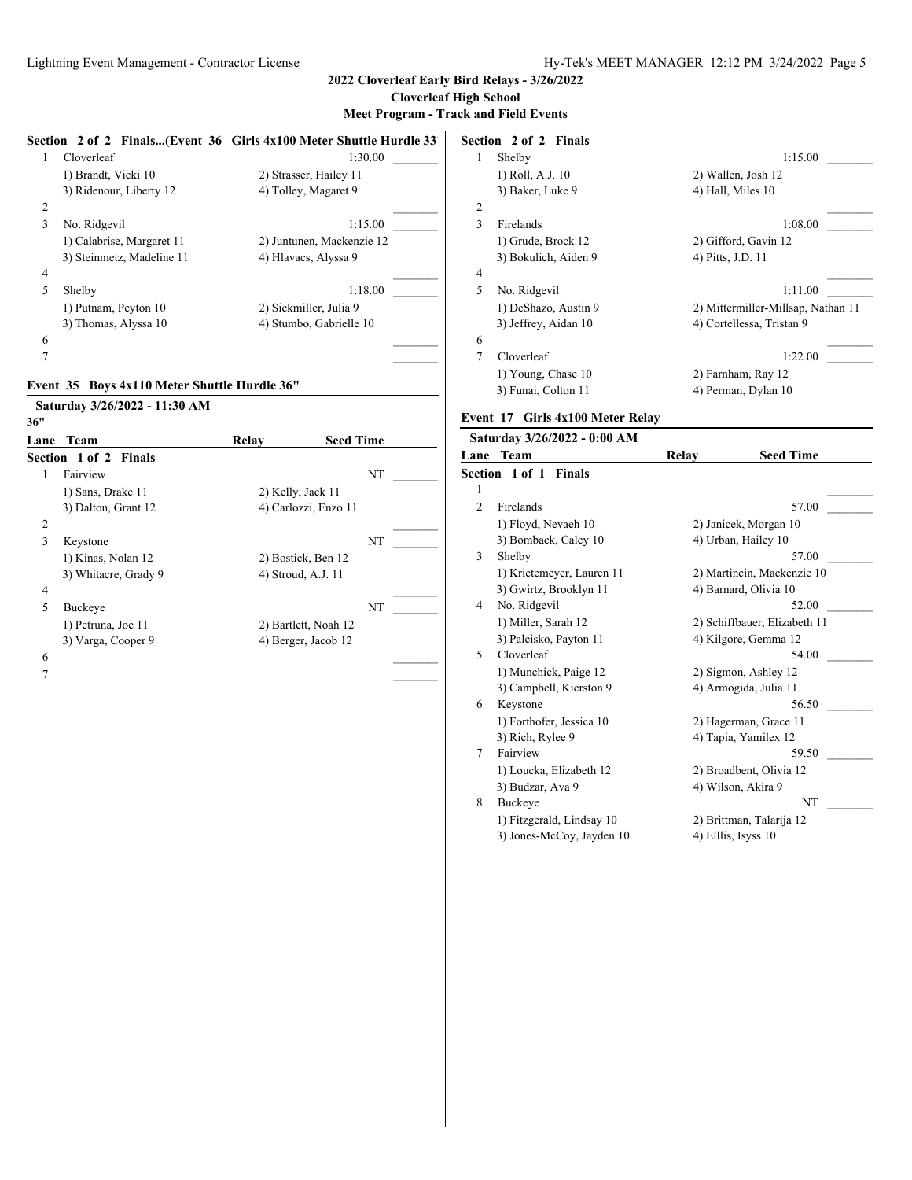|                 |                                              | Section 2 of 2 Finals(Event 36 Girls 4x100 Meter Shuttle Hurdle 33 |    |                  | Section 2 of 2 Finals                                  |                     |                                    |
|-----------------|----------------------------------------------|--------------------------------------------------------------------|----|------------------|--------------------------------------------------------|---------------------|------------------------------------|
| $\mathbf{1}$    | Cloverleaf                                   | 1:30.00                                                            |    | 1                | Shelby                                                 |                     | 1:15.00                            |
|                 | 1) Brandt, Vicki 10                          | 2) Strasser, Hailey 11                                             |    |                  | 1) Roll, A.J. 10                                       | 2) Wallen, Josh 12  |                                    |
|                 | 3) Ridenour, Liberty 12                      | 4) Tolley, Magaret 9                                               |    |                  | 3) Baker, Luke 9                                       | 4) Hall, Miles 10   |                                    |
| $\overline{c}$  |                                              |                                                                    |    | $\boldsymbol{2}$ |                                                        |                     |                                    |
| 3               | No. Ridgevil                                 | 1:15.00                                                            |    | 3                | Firelands                                              |                     | 1:08.00                            |
|                 | 1) Calabrise, Margaret 11                    | 2) Juntunen, Mackenzie 12                                          |    |                  | 1) Grude, Brock 12                                     |                     | 2) Gifford, Gavin 12               |
|                 | 3) Steinmetz, Madeline 11                    | 4) Hlavacs, Alyssa 9                                               |    |                  | 3) Bokulich, Aiden 9                                   | 4) Pitts, J.D. 11   |                                    |
| $\overline{4}$  |                                              |                                                                    |    | 4                |                                                        |                     |                                    |
| 5               | Shelby                                       | 1:18.00                                                            |    | 5                | No. Ridgevil                                           |                     | 1:11.00                            |
|                 | 1) Putnam, Peyton 10                         | 2) Sickmiller, Julia 9                                             |    |                  | 1) DeShazo, Austin 9                                   |                     | 2) Mittermiller-Millsap, Nathan 11 |
|                 | 3) Thomas, Alyssa 10                         | 4) Stumbo, Gabrielle 10                                            |    |                  | 3) Jeffrey, Aidan 10                                   |                     | 4) Cortellessa, Tristan 9          |
| 6               |                                              |                                                                    |    | 6                |                                                        |                     |                                    |
| $\overline{7}$  |                                              |                                                                    |    | $\overline{7}$   | Cloverleaf                                             |                     | 1:22.00                            |
|                 | Event 35 Boys 4x110 Meter Shuttle Hurdle 36" |                                                                    |    |                  | 1) Young, Chase 10                                     | 2) Farnham, Ray 12  |                                    |
|                 |                                              |                                                                    |    |                  | 3) Funai, Colton 11                                    |                     | 4) Perman, Dylan 10                |
| 36"             | Saturday 3/26/2022 - 11:30 AM                |                                                                    |    |                  | Event 17 Girls 4x100 Meter Relay                       |                     |                                    |
|                 | <b>Lane Team</b>                             | Relay<br><b>Seed Time</b>                                          |    |                  | Saturday 3/26/2022 - 0:00 AM                           |                     |                                    |
|                 | Section 1 of 2 Finals                        |                                                                    |    |                  | Lane Team                                              | Relay               | <b>Seed Time</b>                   |
| 1               | Fairview                                     |                                                                    | NT |                  | Section 1 of 1 Finals                                  |                     |                                    |
|                 | 1) Sans, Drake 11                            | 2) Kelly, Jack 11                                                  |    | $\mathbf{1}$     |                                                        |                     |                                    |
|                 | 3) Dalton, Grant 12                          | 4) Carlozzi, Enzo 11                                               |    | $\overline{2}$   | Firelands                                              |                     | 57.00                              |
| 2               |                                              |                                                                    |    |                  | 1) Floyd, Nevaeh 10                                    |                     | 2) Janicek, Morgan 10              |
| $\overline{3}$  | Keystone                                     |                                                                    | NT |                  | 3) Bomback, Caley 10                                   | 4) Urban, Hailey 10 |                                    |
|                 | 1) Kinas, Nolan 12                           | 2) Bostick, Ben 12                                                 |    | 3                | Shelby                                                 |                     | 57.00                              |
|                 | 3) Whitacre, Grady 9                         | 4) Stroud, A.J. 11                                                 |    |                  | 1) Krietemeyer, Lauren 11                              |                     | 2) Martincin, Mackenzie 10         |
| 4               |                                              |                                                                    |    |                  | 3) Gwirtz, Brooklyn 11                                 |                     | 4) Barnard, Olivia 10              |
| 5               | Buckeye                                      |                                                                    | NT | 4                | No. Ridgevil                                           |                     | 52.00                              |
|                 | 1) Petruna, Joe 11                           | 2) Bartlett, Noah 12                                               |    |                  | 1) Miller, Sarah 12                                    |                     | 2) Schiffbauer, Elizabeth 11       |
|                 | 3) Varga, Cooper 9                           | 4) Berger, Jacob 12                                                |    |                  | 3) Palcisko, Payton 11                                 |                     | 4) Kilgore, Gemma 12               |
| 6               |                                              |                                                                    |    | 5                | Cloverleaf                                             |                     | 54.00                              |
|                 |                                              |                                                                    |    |                  | 1) Munchick, Paige 12                                  |                     | 2) Sigmon, Ashley 12               |
| $7\phantom{.0}$ |                                              |                                                                    |    |                  |                                                        |                     |                                    |
|                 |                                              |                                                                    |    |                  | 3) Campbell, Kierston 9                                |                     | 4) Armogida, Julia 11              |
|                 |                                              |                                                                    |    | 6                | Keystone                                               |                     | 56.50                              |
|                 |                                              |                                                                    |    |                  | 1) Forthofer, Jessica 10                               |                     | 2) Hagerman, Grace 11              |
|                 |                                              |                                                                    |    |                  | 3) Rich, Rylee 9                                       |                     | 4) Tapia, Yamilex 12               |
|                 |                                              |                                                                    |    | $\tau$           | Fairview                                               |                     | 59.50                              |
|                 |                                              |                                                                    |    |                  | 1) Loucka, Elizabeth 12                                |                     | 2) Broadbent, Olivia 12            |
|                 |                                              |                                                                    |    |                  | 3) Budzar, Ava 9                                       | 4) Wilson, Akira 9  |                                    |
|                 |                                              |                                                                    |    | 8                | Buckeye                                                |                     | NT                                 |
|                 |                                              |                                                                    |    |                  | 1) Fitzgerald, Lindsay 10<br>3) Jones-McCoy, Jayden 10 | 4) Elllis, Isyss 10 | 2) Brittman, Talarija 12           |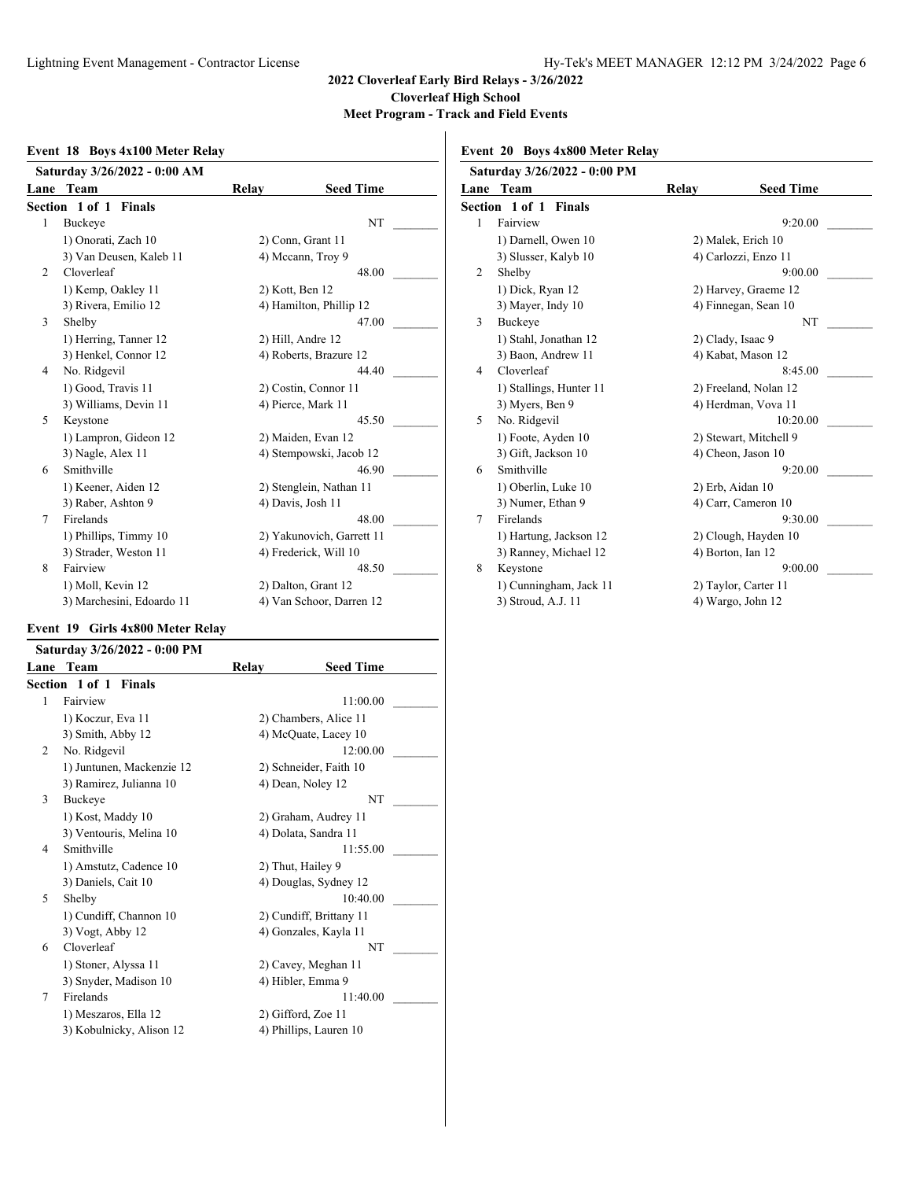#### **Event 18 Boys 4x100 Meter Relay**

|                | Saturday 3/26/2022 - 0:00 AM |       |                           |
|----------------|------------------------------|-------|---------------------------|
| Lane           | Team                         | Relay | <b>Seed Time</b>          |
|                | <b>Section 1 of 1 Finals</b> |       |                           |
| 1              | Buckeye                      |       | NT                        |
|                | 1) Onorati, Zach 10          |       | 2) Conn, Grant 11         |
|                | 3) Van Deusen, Kaleb 11      |       | 4) Mccann, Troy 9         |
| $\overline{c}$ | Cloverleaf                   |       | 48.00                     |
|                | 1) Kemp, Oakley 11           |       | 2) Kott, Ben 12           |
|                | 3) Rivera, Emilio 12         |       | 4) Hamilton, Phillip 12   |
| 3              | Shelby                       |       | 47.00                     |
|                | 1) Herring, Tanner 12        |       | 2) Hill, Andre 12         |
|                | 3) Henkel, Connor 12         |       | 4) Roberts, Brazure 12    |
| 4              | No. Ridgevil                 |       | 44.40                     |
|                | 1) Good, Travis 11           |       | 2) Costin, Connor 11      |
|                | 3) Williams, Devin 11        |       | 4) Pierce, Mark 11        |
| 5              | Keystone                     |       | 45.50                     |
|                | 1) Lampron, Gideon 12        |       | 2) Maiden, Evan 12        |
|                | 3) Nagle, Alex 11            |       | 4) Stempowski, Jacob 12   |
| 6              | Smithville                   |       | 46.90                     |
|                | 1) Keener, Aiden 12          |       | 2) Stenglein, Nathan 11   |
|                | 3) Raber, Ashton 9           |       | 4) Davis, Josh 11         |
| 7              | Firelands                    |       | 48.00                     |
|                | 1) Phillips, Timmy 10        |       | 2) Yakunovich, Garrett 11 |
|                | 3) Strader, Weston 11        |       | 4) Frederick, Will 10     |
| 8              | Fairview                     |       | 48.50                     |
|                | 1) Moll, Kevin 12            |       | 2) Dalton, Grant 12       |
|                | 3) Marchesini, Edoardo 11    |       | 4) Van Schoor, Darren 12  |

#### **Event 19 Girls 4x800 Meter Relay**

|                | Saturday 3/26/2022 - 0:00 PM |       |                         |  |
|----------------|------------------------------|-------|-------------------------|--|
| Lane           | Team                         | Relay | <b>Seed Time</b>        |  |
|                | Section 1 of 1 Finals        |       |                         |  |
| 1              | Fairview                     |       | 11:00.00                |  |
|                | 1) Koczur, Eva 11            |       | 2) Chambers, Alice 11   |  |
|                | 3) Smith, Abby 12            |       | 4) McQuate, Lacey 10    |  |
| $\mathfrak{D}$ | No. Ridgevil                 |       | 12:00.00                |  |
|                | 1) Juntunen, Mackenzie 12    |       | 2) Schneider, Faith 10  |  |
|                | 3) Ramirez, Julianna 10      |       | 4) Dean, Noley 12       |  |
| 3              | Buckeye                      |       | <b>NT</b>               |  |
|                | 1) Kost, Maddy 10            |       | 2) Graham, Audrey 11    |  |
|                | 3) Ventouris, Melina 10      |       | 4) Dolata, Sandra 11    |  |
| 4              | Smithville                   |       | 11:55.00                |  |
|                | 1) Amstutz, Cadence 10       |       | 2) Thut, Hailey 9       |  |
|                | 3) Daniels, Cait 10          |       | 4) Douglas, Sydney 12   |  |
| 5              | Shelby                       |       | 10:40.00                |  |
|                | 1) Cundiff, Channon 10       |       | 2) Cundiff, Brittany 11 |  |
|                | 3) Vogt, Abby 12             |       | 4) Gonzales, Kayla 11   |  |
| 6              | Cloverleaf                   |       | <b>NT</b>               |  |
|                | 1) Stoner, Alyssa 11         |       | 2) Cavey, Meghan 11     |  |
|                | 3) Snyder, Madison 10        |       | 4) Hibler, Emma 9       |  |
| 7              | Firelands                    |       | 11:40.00                |  |
|                | 1) Meszaros, Ella 12         |       | 2) Gifford, Zoe 11      |  |
|                | 3) Kobulnicky, Alison 12     |       | 4) Phillips, Lauren 10  |  |
|                |                              |       |                         |  |

# **Event 20 Boys 4x800 Meter Relay**

|   | Saturday 3/26/2022 - 0:00 PM |       |                        |
|---|------------------------------|-------|------------------------|
|   | <b>Lane Team</b>             | Relay | <b>Seed Time</b>       |
|   | Section 1 of 1 Finals        |       |                        |
| 1 | Fairview                     |       | 9:20.00                |
|   | 1) Darnell, Owen 10          |       | 2) Malek, Erich 10     |
|   | 3) Slusser, Kalyb 10         |       | 4) Carlozzi, Enzo 11   |
| 2 | Shelby                       |       | 9:00.00                |
|   | 1) Dick, Ryan 12             |       | 2) Harvey, Graeme 12   |
|   | 3) Mayer, Indy 10            |       | 4) Finnegan, Sean 10   |
| 3 | <b>Buckeye</b>               |       | NT                     |
|   | 1) Stahl, Jonathan 12        |       | 2) Clady, Isaac 9      |
|   | 3) Baon, Andrew 11           |       | 4) Kabat, Mason 12     |
| 4 | Cloverleaf                   |       | 8:45.00                |
|   | 1) Stallings, Hunter 11      |       | 2) Freeland, Nolan 12  |
|   | 3) Myers, Ben 9              |       | 4) Herdman, Vova 11    |
| 5 | No. Ridgevil                 |       | 10:20.00               |
|   | 1) Foote, Ayden 10           |       | 2) Stewart, Mitchell 9 |
|   | 3) Gift, Jackson 10          |       | 4) Cheon, Jason 10     |
| 6 | Smithville                   |       | 9:20.00                |
|   | 1) Oberlin, Luke 10          |       | 2) Erb, Aidan 10       |
|   | 3) Numer, Ethan 9            |       | 4) Carr, Cameron 10    |
| 7 | Firelands                    |       | 9:30.00                |
|   | 1) Hartung, Jackson 12       |       | 2) Clough, Hayden 10   |
|   | 3) Ranney, Michael 12        |       | 4) Borton, Ian 12      |
| 8 | Keystone                     |       | 9:00.00                |
|   | 1) Cunningham, Jack 11       |       | 2) Taylor, Carter 11   |
|   | 3) Stroud, A.J. 11           |       | 4) Wargo, John 12      |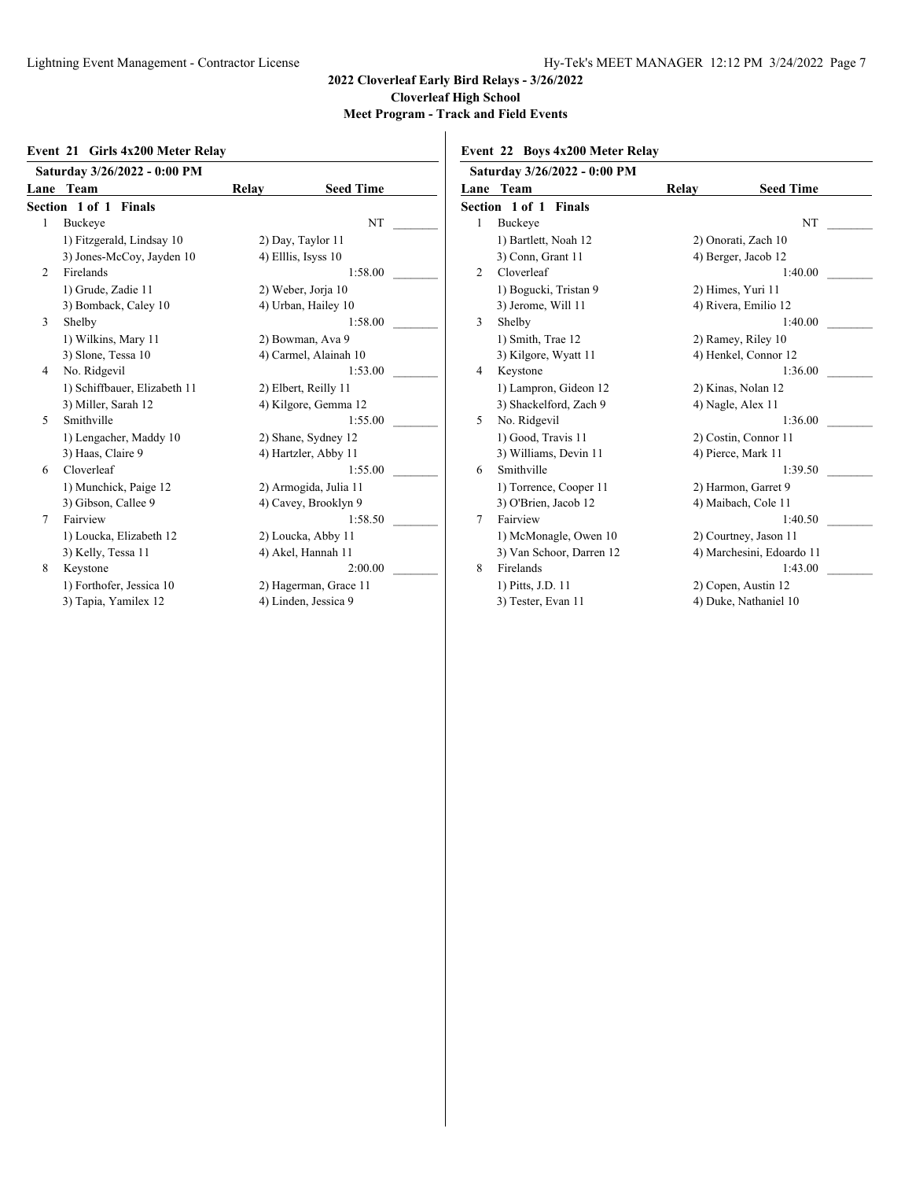#### **Event 21 Girls 4x200 Meter Relay**

|   | Saturday 3/26/2022 - 0:00 PM |       |                       |
|---|------------------------------|-------|-----------------------|
|   | Lane Team                    | Relay | <b>Seed Time</b>      |
|   | <b>Section 1 of 1 Finals</b> |       |                       |
| 1 | Buckeye                      |       | NT                    |
|   | 1) Fitzgerald, Lindsay 10    |       | 2) Day, Taylor 11     |
|   | 3) Jones-McCoy, Jayden 10    |       | 4) Elllis, Isyss 10   |
| 2 | Firelands                    |       | 1:58.00               |
|   | 1) Grude, Zadie 11           |       | 2) Weber, Jorja 10    |
|   | 3) Bomback, Caley 10         |       | 4) Urban, Hailey 10   |
| 3 | Shelby                       |       | 1:58.00               |
|   | 1) Wilkins, Mary 11          |       | 2) Bowman, Ava 9      |
|   | 3) Slone, Tessa 10           |       | 4) Carmel, Alainah 10 |
| 4 | No. Ridgevil                 |       | 1:53.00               |
|   | 1) Schiffbauer, Elizabeth 11 |       | 2) Elbert, Reilly 11  |
|   | 3) Miller, Sarah 12          |       | 4) Kilgore, Gemma 12  |
| 5 | Smithville                   |       | 1:55.00               |
|   | 1) Lengacher, Maddy 10       |       | 2) Shane, Sydney 12   |
|   | 3) Haas, Claire 9            |       | 4) Hartzler, Abby 11  |
| 6 | Cloverleaf                   |       | 1:55.00               |
|   | 1) Munchick, Paige 12        |       | 2) Armogida, Julia 11 |
|   | 3) Gibson, Callee 9          |       | 4) Cavey, Brooklyn 9  |
| 7 | Fairview                     |       | 1:58.50               |
|   | 1) Loucka, Elizabeth 12      |       | 2) Loucka, Abby 11    |
|   | 3) Kelly, Tessa 11           |       | 4) Akel, Hannah 11    |
| 8 | Keystone                     |       | 2:00.00               |
|   | 1) Forthofer, Jessica 10     |       | 2) Hagerman, Grace 11 |
|   | 3) Tapia, Yamilex 12         |       | 4) Linden, Jessica 9  |

## **Event 22 Boys 4x200 Meter Relay**

|   | Saturday 3/26/2022 - 0:00 PM |       |                           |
|---|------------------------------|-------|---------------------------|
|   | Lane Team                    | Relay | <b>Seed Time</b>          |
|   | <b>Section 1 of 1 Finals</b> |       |                           |
| 1 | Buckeye                      |       | NT                        |
|   | 1) Bartlett, Noah 12         |       | 2) Onorati, Zach 10       |
|   | 3) Conn, Grant 11            |       | 4) Berger, Jacob 12       |
| 2 | Cloverleaf                   |       | 1:40.00                   |
|   | 1) Bogucki, Tristan 9        |       | 2) Himes, Yuri 11         |
|   | 3) Jerome, Will 11           |       | 4) Rivera, Emilio 12      |
| 3 | Shelby                       |       | 1:40.00                   |
|   | 1) Smith, Trae 12            |       | 2) Ramey, Riley 10        |
|   | 3) Kilgore, Wyatt 11         |       | 4) Henkel, Connor 12      |
| 4 | Keystone                     |       | 1:36.00                   |
|   | 1) Lampron, Gideon 12        |       | 2) Kinas, Nolan 12        |
|   | 3) Shackelford, Zach 9       |       | 4) Nagle, Alex 11         |
| 5 | No. Ridgevil                 |       | 1:36.00                   |
|   | 1) Good, Travis 11           |       | 2) Costin, Connor 11      |
|   | 3) Williams, Devin 11        |       | 4) Pierce, Mark 11        |
| 6 | Smithville                   |       | 1:39.50                   |
|   | 1) Torrence, Cooper 11       |       | 2) Harmon, Garret 9       |
|   | 3) O'Brien, Jacob 12         |       | 4) Maibach, Cole 11       |
| 7 | Fairview                     |       | 1:40.50                   |
|   | 1) McMonagle, Owen 10        |       | 2) Courtney, Jason 11     |
|   | 3) Van Schoor, Darren 12     |       | 4) Marchesini, Edoardo 11 |
| 8 | Firelands                    |       | 1:43.00                   |
|   | 1) Pitts, J.D. 11            |       | 2) Copen, Austin 12       |
|   | 3) Tester, Evan 11           |       | 4) Duke, Nathaniel 10     |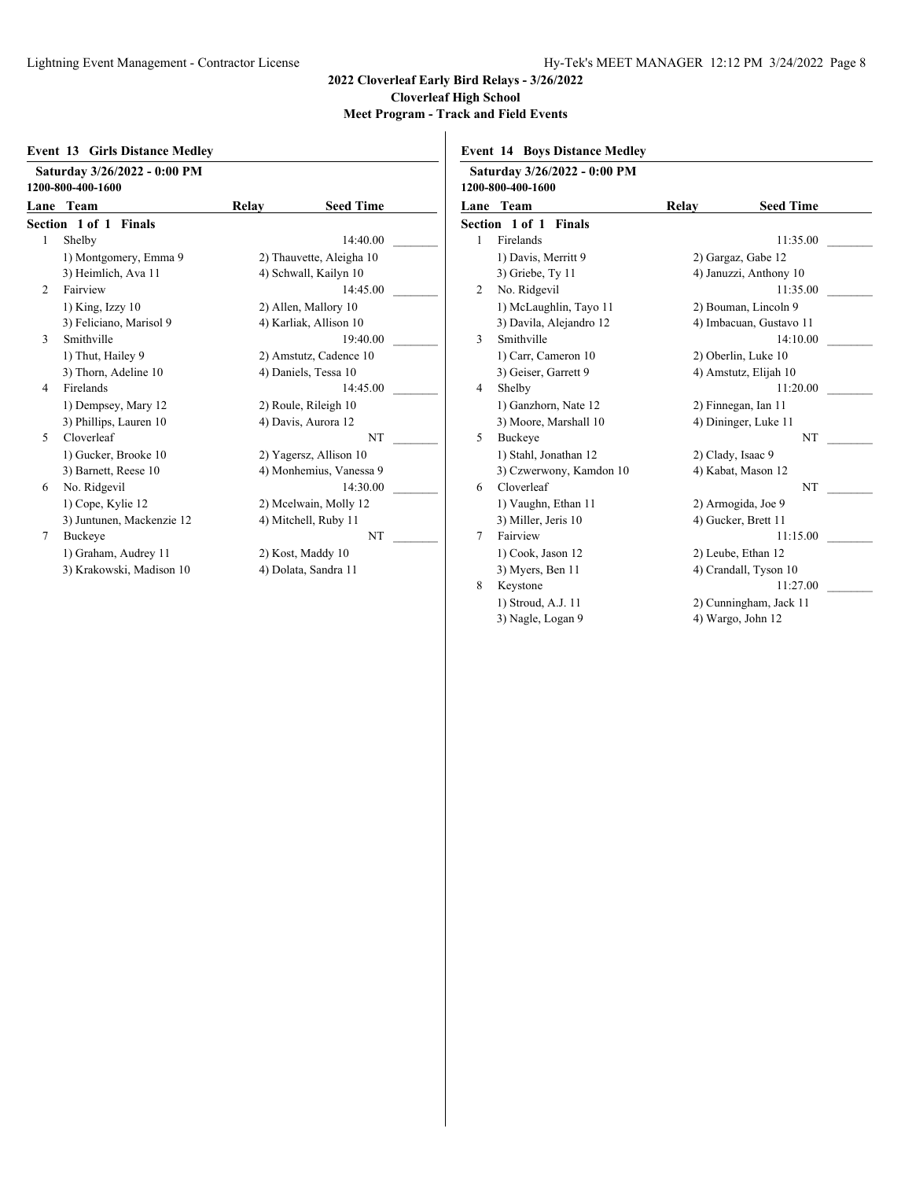|                | Saturday 3/26/2022 - 0:00 PM<br>1200-800-400-1600 |       |                          |
|----------------|---------------------------------------------------|-------|--------------------------|
|                | Lane Team                                         | Relay | <b>Seed Time</b>         |
|                | Section 1 of 1 Finals                             |       |                          |
| 1              | Shelby                                            |       | 14:40.00                 |
|                | 1) Montgomery, Emma 9                             |       | 2) Thauvette, Aleigha 10 |
|                | 3) Heimlich, Ava 11                               |       | 4) Schwall, Kailyn 10    |
| $\mathfrak{D}$ | Fairview                                          |       | 14:45.00                 |
|                | $1)$ King, Izzy $10$                              |       | 2) Allen, Mallory 10     |
|                | 3) Feliciano, Marisol 9                           |       | 4) Karliak, Allison 10   |
| $\mathbf{3}$   | Smithville                                        |       | 19:40.00                 |
|                | 1) Thut, Hailey 9                                 |       | 2) Amstutz, Cadence 10   |
|                | 3) Thorn, Adeline 10                              |       | 4) Daniels, Tessa 10     |
| $\overline{4}$ | Firelands                                         |       | 14:45.00                 |
|                | 1) Dempsey, Mary 12                               |       | 2) Roule, Rileigh 10     |
|                | 3) Phillips, Lauren 10                            |       | 4) Davis, Aurora 12      |
| 5              | Cloverleaf                                        |       | <b>NT</b>                |
|                | 1) Gucker, Brooke 10                              |       | 2) Yagersz, Allison 10   |
|                | 3) Barnett, Reese 10                              |       | 4) Monhemius, Vanessa 9  |
| 6              | No. Ridgevil                                      |       | 14:30.00                 |
|                | 1) Cope, Kylie 12                                 |       | 2) Mcelwain, Molly 12    |
|                | 3) Juntunen, Mackenzie 12                         |       | 4) Mitchell, Ruby 11     |
| 7              | Buckeye                                           |       | <b>NT</b>                |
|                | 1) Graham, Audrey 11                              |       | 2) Kost, Maddy 10        |
|                | 3) Krakowski, Madison 10                          |       | 4) Dolata, Sandra 11     |

|  |  |  | <b>Event 14 Boys Distance Medley</b> |  |
|--|--|--|--------------------------------------|--|
|--|--|--|--------------------------------------|--|

|                              | Saturday 3/26/2022 - 0:00 PM<br>1200-800-400-1600 |       |                         |
|------------------------------|---------------------------------------------------|-------|-------------------------|
| Lane                         | Team                                              | Relay | <b>Seed Time</b>        |
| <b>Section 1 of 1 Finals</b> |                                                   |       |                         |
| 1                            | Firelands                                         |       | 11:35.00                |
|                              | 1) Davis, Merritt 9                               |       | 2) Gargaz, Gabe 12      |
|                              | 3) Griebe, Ty 11                                  |       | 4) Januzzi, Anthony 10  |
| 2                            | No. Ridgevil                                      |       | 11:35.00                |
|                              | 1) McLaughlin, Tayo 11                            |       | 2) Bouman, Lincoln 9    |
|                              | 3) Davila, Alejandro 12                           |       | 4) Imbacuan, Gustavo 11 |
| 3                            | Smithville                                        |       | 14:10.00                |
|                              | 1) Carr, Cameron 10                               |       | 2) Oberlin, Luke 10     |
|                              | 3) Geiser, Garrett 9                              |       | 4) Amstutz, Elijah 10   |
| 4                            | Shelby                                            |       | 11:20.00                |
|                              | 1) Ganzhorn, Nate 12                              |       | 2) Finnegan, Ian 11     |
|                              | 3) Moore, Marshall 10                             |       | 4) Dininger, Luke 11    |
| 5                            | <b>Buckeye</b>                                    |       | <b>NT</b>               |
|                              | 1) Stahl, Jonathan 12                             |       | 2) Clady, Isaac 9       |
|                              | 3) Czwerwony, Kamdon 10                           |       | 4) Kabat, Mason 12      |
| 6                            | Cloverleaf                                        |       | NT                      |
|                              | 1) Vaughn, Ethan 11                               |       | 2) Armogida, Joe 9      |
|                              | 3) Miller, Jeris 10                               |       | 4) Gucker, Brett 11     |
| 7                            | Fairview                                          |       | 11:15.00                |
|                              | 1) Cook, Jason 12                                 |       | 2) Leube, Ethan 12      |
|                              | 3) Myers, Ben 11                                  |       | 4) Crandall, Tyson 10   |
| 8                            | Keystone                                          |       | 11:27.00                |
|                              | 1) Stroud, A.J. 11                                |       | 2) Cunningham, Jack 11  |
|                              | 3) Nagle, Logan 9                                 |       | 4) Wargo, John 12       |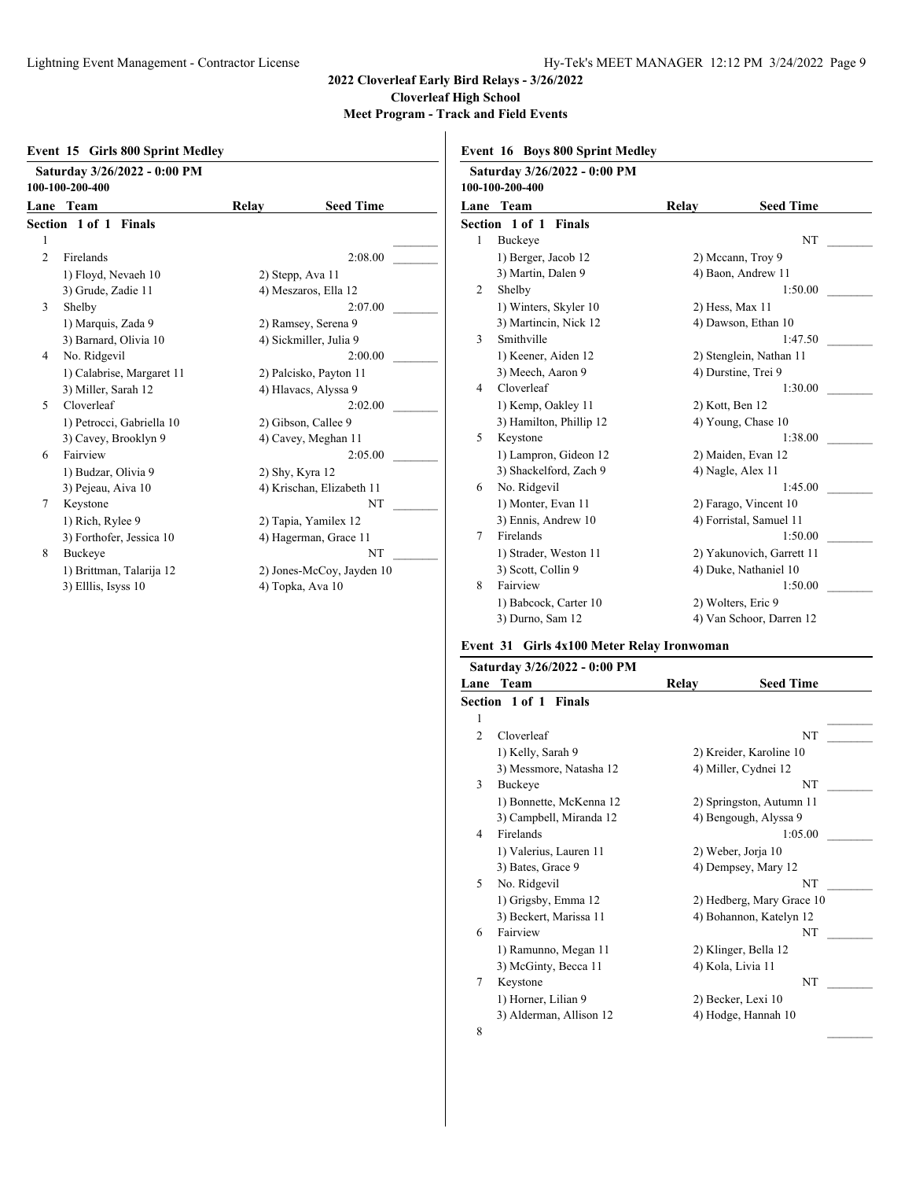|                | <b>Event 15 Girls 800 Sprint Medlev</b>         |       |                           |
|----------------|-------------------------------------------------|-------|---------------------------|
|                | Saturday 3/26/2022 - 0:00 PM<br>100-100-200-400 |       |                           |
|                | Lane Team                                       | Relay | <b>Seed Time</b>          |
|                | <b>Section 1 of 1 Finals</b>                    |       |                           |
| 1              |                                                 |       |                           |
| $\overline{c}$ | Firelands                                       |       | 2:08.00                   |
|                | 1) Floyd, Nevaeh 10                             |       | 2) Stepp, Ava 11          |
|                | 3) Grude, Zadie 11                              |       | 4) Meszaros, Ella 12      |
| 3              | Shelby                                          |       | 2:07.00                   |
|                | 1) Marquis, Zada 9                              |       | 2) Ramsey, Serena 9       |
|                | 3) Barnard, Olivia 10                           |       | 4) Sickmiller, Julia 9    |
| 4              | No. Ridgevil                                    |       | 2:00.00                   |
|                | 1) Calabrise, Margaret 11                       |       | 2) Palcisko, Payton 11    |
|                | 3) Miller, Sarah 12                             |       | 4) Hlavacs, Alyssa 9      |
| 5              | Cloverleaf                                      |       | 2:02.00                   |
|                | 1) Petrocci, Gabriella 10                       |       | 2) Gibson, Callee 9       |
|                | 3) Cavey, Brooklyn 9                            |       | 4) Cavey, Meghan 11       |
| 6              | Fairview                                        |       | 2:05.00                   |
|                | 1) Budzar, Olivia 9                             |       | 2) Shy, Kyra 12           |
|                | 3) Pejeau, Aiva 10                              |       | 4) Krischan, Elizabeth 11 |
| 7              | Keystone                                        |       | NT                        |
|                | 1) Rich, Rylee 9                                |       | 2) Tapia, Yamilex 12      |
|                | 3) Forthofer, Jessica 10                        |       | 4) Hagerman, Grace 11     |
| 8              | Buckeye                                         |       | NT                        |
|                | 1) Brittman, Talarija 12                        |       | 2) Jones-McCoy, Jayden 10 |
|                | 3) Elllis, Isyss 10                             |       | 4) Topka, Ava 10          |

|  |  | <b>Event 16 Boys 800 Sprint Medley</b> |
|--|--|----------------------------------------|
|  |  |                                        |

|      | Saturday 3/26/2022 - 0:00 PM<br>100-100-200-400 |       |                           |
|------|-------------------------------------------------|-------|---------------------------|
| Lane | Team                                            | Relay | <b>Seed Time</b>          |
|      | <b>Section 1 of 1 Finals</b>                    |       |                           |
| 1    | Buckeye                                         |       | NT                        |
|      | 1) Berger, Jacob 12                             |       | 2) Mccann, Troy 9         |
|      | 3) Martin, Dalen 9                              |       | 4) Baon, Andrew 11        |
| 2    | Shelby                                          |       | 1:50.00                   |
|      | 1) Winters, Skyler 10                           |       | 2) Hess, Max 11           |
|      | 3) Martincin, Nick 12                           |       | 4) Dawson, Ethan 10       |
| 3    | Smithville                                      |       | 1:47.50                   |
|      | 1) Keener, Aiden 12                             |       | 2) Stenglein, Nathan 11   |
|      | 3) Meech, Aaron 9                               |       | 4) Durstine, Trei 9       |
| 4    | Cloverleaf                                      |       | 1:30.00                   |
|      | 1) Kemp, Oakley 11                              |       | 2) Kott, Ben 12           |
|      | 3) Hamilton, Phillip 12                         |       | 4) Young, Chase 10        |
| 5    | Keystone                                        |       | 1:38.00                   |
|      | 1) Lampron, Gideon 12                           |       | 2) Maiden, Evan 12        |
|      | 3) Shackelford, Zach 9                          |       | 4) Nagle, Alex 11         |
| 6    | No. Ridgevil                                    |       | 1:45.00                   |
|      | 1) Monter, Evan 11                              |       | 2) Farago, Vincent 10     |
|      | 3) Ennis, Andrew 10                             |       | 4) Forristal, Samuel 11   |
| 7    | Firelands                                       |       | 1:50.00                   |
|      | 1) Strader, Weston 11                           |       | 2) Yakunovich, Garrett 11 |
|      | 3) Scott, Collin 9                              |       | 4) Duke, Nathaniel 10     |
| 8    | Fairview                                        |       | 1:50.00                   |
|      | 1) Babcock, Carter 10                           |       | 2) Wolters, Eric 9        |
|      | 3) Durno, Sam 12                                |       | 4) Van Schoor, Darren 12  |

## **Event 31 Girls 4x100 Meter Relay Ironwoman**

|      | Saturday 3/26/2022 - 0:00 PM    |       |                           |
|------|---------------------------------|-------|---------------------------|
| Lane | Team                            | Relay | <b>Seed Time</b>          |
|      | Section 1 of 1<br><b>Finals</b> |       |                           |
| 1    |                                 |       |                           |
| 2    | Cloverleaf                      |       | NT                        |
|      | 1) Kelly, Sarah 9               |       | 2) Kreider, Karoline 10   |
|      | 3) Messmore, Natasha 12         |       | 4) Miller, Cydnei 12      |
| 3    | Buckeye                         |       | NT                        |
|      | 1) Bonnette, McKenna 12         |       | 2) Springston, Autumn 11  |
|      | 3) Campbell, Miranda 12         |       | 4) Bengough, Alyssa 9     |
| 4    | Firelands                       |       | 1:05.00                   |
|      | 1) Valerius, Lauren 11          |       | 2) Weber, Jorja 10        |
|      | 3) Bates, Grace 9               |       | 4) Dempsey, Mary 12       |
| 5    | No. Ridgevil                    |       | NT                        |
|      | 1) Grigsby, Emma 12             |       | 2) Hedberg, Mary Grace 10 |
|      | 3) Beckert, Marissa 11          |       | 4) Bohannon, Katelyn 12   |
| 6    | Fairview                        |       | NT                        |
|      | 1) Ramunno, Megan 11            |       | 2) Klinger, Bella 12      |
|      | 3) McGinty, Becca 11            |       | 4) Kola, Livia 11         |
| 7    | Keystone                        |       | NT                        |
|      | 1) Horner, Lilian 9             |       | 2) Becker, Lexi 10        |
|      | 3) Alderman, Allison 12         |       | 4) Hodge, Hannah 10       |
| 8    |                                 |       |                           |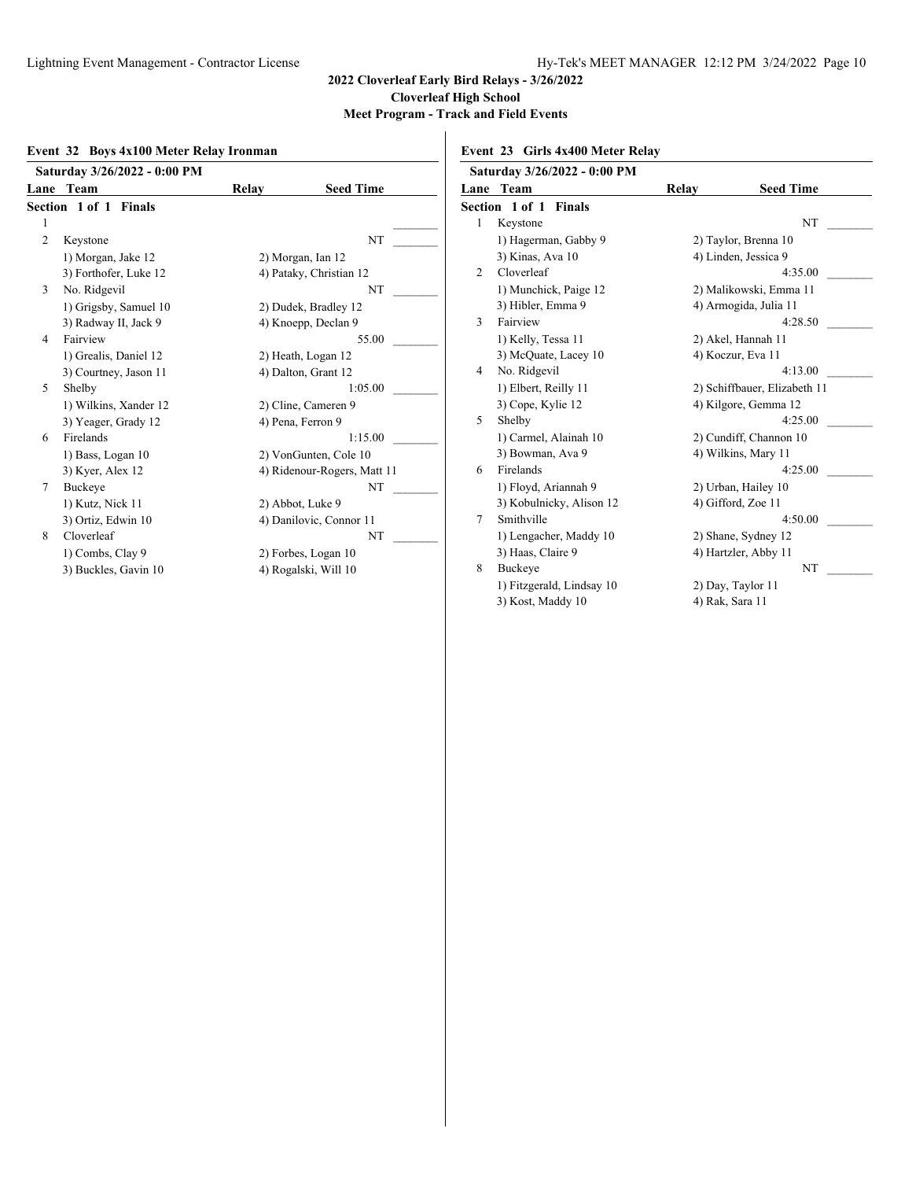**Meet Program - Track and Field Events**

#### **Event 32 Boys 4x100 Meter Relay Ironman**

|                | Saturday 3/26/2022 - 0:00 PM |       |                             |
|----------------|------------------------------|-------|-----------------------------|
|                | Lane Team                    | Relay | <b>Seed Time</b>            |
|                | <b>Section 1 of 1 Finals</b> |       |                             |
| 1              |                              |       |                             |
| $\overline{c}$ | Keystone                     |       | NT                          |
|                | 1) Morgan, Jake 12           |       | 2) Morgan, Ian 12           |
|                | 3) Forthofer, Luke 12        |       | 4) Pataky, Christian 12     |
| 3              | No. Ridgevil                 |       | NT                          |
|                | 1) Grigsby, Samuel 10        |       | 2) Dudek, Bradley 12        |
|                | 3) Radway II, Jack 9         |       | 4) Knoepp, Declan 9         |
| 4              | Fairview                     |       | 55.00                       |
|                | 1) Grealis, Daniel 12        |       | 2) Heath, Logan 12          |
|                | 3) Courtney, Jason 11        |       | 4) Dalton, Grant 12         |
| 5              | Shelby                       |       | 1:05.00                     |
|                | 1) Wilkins, Xander 12        |       | 2) Cline, Cameren 9         |
|                | 3) Yeager, Grady 12          |       | 4) Pena, Ferron 9           |
| 6              | Firelands                    |       | 1:15.00                     |
|                | 1) Bass, Logan 10            |       | 2) VonGunten, Cole 10       |
|                | 3) Kyer, Alex 12             |       | 4) Ridenour-Rogers, Matt 11 |
| 7              | Buckeye                      |       | NT                          |
|                | 1) Kutz, Nick 11             |       | 2) Abbot, Luke 9            |
|                | 3) Ortiz, Edwin 10           |       | 4) Danilovic, Connor 11     |
| 8              | Cloverleaf                   |       | NT                          |
|                | 1) Combs, Clay 9             |       | 2) Forbes, Logan 10         |
|                | 3) Buckles, Gavin 10         |       | 4) Rogalski, Will 10        |
|                |                              |       |                             |

**Event 23 Girls 4x400 Meter Relay**

|   | Saturday 3/26/2022 - 0:00 PM |                 |                              |
|---|------------------------------|-----------------|------------------------------|
|   | <b>Lane Team</b>             | Relay           | <b>Seed Time</b>             |
|   | <b>Section 1 of 1 Finals</b> |                 |                              |
| 1 | Keystone                     |                 | <b>NT</b>                    |
|   | 1) Hagerman, Gabby 9         |                 | 2) Taylor, Brenna 10         |
|   | 3) Kinas, Ava 10             |                 | 4) Linden, Jessica 9         |
| 2 | Cloverleaf                   |                 | 4:35.00                      |
|   | 1) Munchick, Paige 12        |                 | 2) Malikowski, Emma 11       |
|   | 3) Hibler, Emma 9            |                 | 4) Armogida, Julia 11        |
| 3 | Fairview                     |                 | 4:28.50                      |
|   | 1) Kelly, Tessa 11           |                 | 2) Akel, Hannah 11           |
|   | 3) McQuate, Lacey 10         |                 | 4) Koczur, Eva 11            |
| 4 | No. Ridgevil                 |                 | 4:13.00                      |
|   | 1) Elbert, Reilly 11         |                 | 2) Schiffbauer, Elizabeth 11 |
|   | 3) Cope, Kylie 12            |                 | 4) Kilgore, Gemma 12         |
| 5 | Shelby                       |                 | 4:25.00                      |
|   | 1) Carmel, Alainah 10        |                 | 2) Cundiff, Channon 10       |
|   | 3) Bowman, Ava 9             |                 | 4) Wilkins, Mary 11          |
| 6 | Firelands                    |                 | 4:25.00                      |
|   | 1) Floyd, Ariannah 9         |                 | 2) Urban, Hailey 10          |
|   | 3) Kobulnicky, Alison 12     |                 | 4) Gifford, Zoe 11           |
| 7 | Smithville                   |                 | 4:50.00                      |
|   | 1) Lengacher, Maddy 10       |                 | 2) Shane, Sydney 12          |
|   | 3) Haas, Claire 9            |                 | 4) Hartzler, Abby 11         |
| 8 | <b>Buckeye</b>               |                 | NT                           |
|   | 1) Fitzgerald, Lindsay 10    |                 | 2) Day, Taylor 11            |
|   | 3) Kost, Maddy 10            | 4) Rak, Sara 11 |                              |